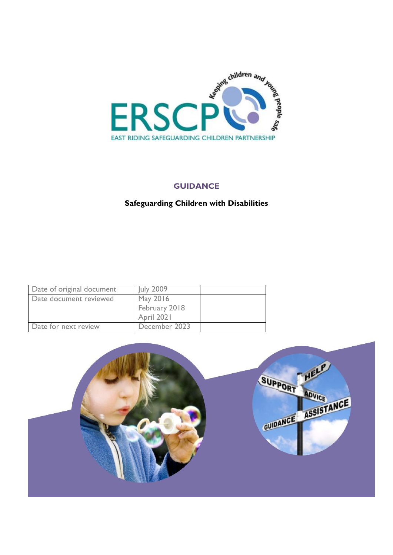

## **GUIDANCE**

# **Safeguarding Children with Disabilities**

| Date of original document | <b>July 2009</b> |  |
|---------------------------|------------------|--|
| Date document reviewed    | May 2016         |  |
|                           | February 2018    |  |
|                           | April 2021       |  |
| Date for next review      | December 2023    |  |

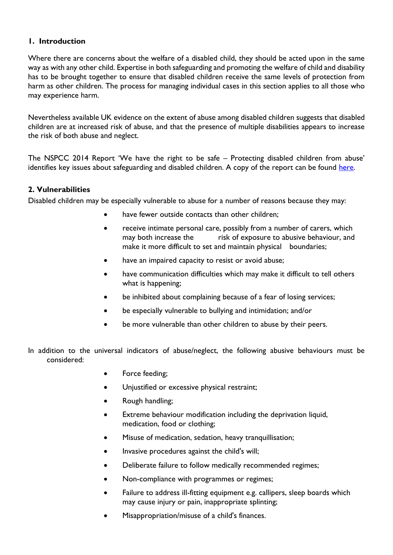## **1. Introduction**

Where there are concerns about the welfare of a disabled child, they should be acted upon in the same way as with any other child. Expertise in both safeguarding and promoting the welfare of child and disability has to be brought together to ensure that disabled children receive the same levels of protection from harm as other children. The process for managing individual cases in this section applies to all those who may experience harm.

Nevertheless available UK evidence on the extent of abuse among disabled children suggests that disabled children are at increased risk of abuse, and that the presence of multiple disabilities appears to increase the risk of both abuse and neglect.

The NSPCC 2014 Report 'We have the right to be safe – Protecting disabled children from abuse' identifies key issues about safeguarding and disabled children. A copy of the report can be found [here.](https://www.nspcc.org.uk/globalassets/documents/research-reports/right-safe-disabled-children-abuse-summary.pdf)

## **2. Vulnerabilities**

Disabled children may be especially vulnerable to abuse for a number of reasons because they may:

- have fewer outside contacts than other children;
- receive intimate personal care, possibly from a number of carers, which may both increase the risk of exposure to abusive behaviour, and make it more difficult to set and maintain physical boundaries;
- have an impaired capacity to resist or avoid abuse;
- have communication difficulties which may make it difficult to tell others what is happening;
- be inhibited about complaining because of a fear of losing services;
- be especially vulnerable to bullying and intimidation; and/or
- be more vulnerable than other children to abuse by their peers.

In addition to the universal indicators of abuse/neglect, the following abusive behaviours must be considered:

- Force feeding;
- Unjustified or excessive physical restraint;
- Rough handling;
- Extreme behaviour modification including the deprivation liquid, medication, food or clothing;
- Misuse of medication, sedation, heavy tranquillisation;
- Invasive procedures against the child's will;
- Deliberate failure to follow medically recommended regimes;
- Non-compliance with programmes or regimes;
- Failure to address ill-fitting equipment e.g. callipers, sleep boards which may cause injury or pain, inappropriate splinting;
- Misappropriation/misuse of a child's finances.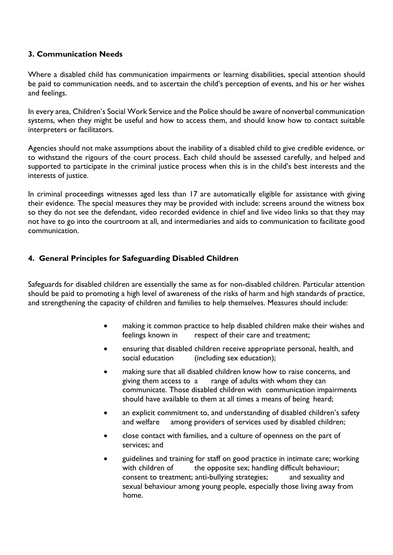## **3. Communication Needs**

Where a disabled child has communication impairments or learning disabilities, special attention should be paid to communication needs, and to ascertain the child's perception of events, and his or her wishes and feelings.

In every area, Children's Social Work Service and the Police should be aware of nonverbal communication systems, when they might be useful and how to access them, and should know how to contact suitable interpreters or facilitators.

Agencies should not make assumptions about the inability of a disabled child to give credible evidence, or to withstand the rigours of the court process. Each child should be assessed carefully, and helped and supported to participate in the criminal justice process when this is in the child's best interests and the interests of justice.

In criminal proceedings witnesses aged less than 17 are automatically eligible for assistance with giving their evidence. The special measures they may be provided with include: screens around the witness box so they do not see the defendant, video recorded evidence in chief and live video links so that they may not have to go into the courtroom at all, and intermediaries and aids to communication to facilitate good communication.

## **4. General Principles for Safeguarding Disabled Children**

Safeguards for disabled children are essentially the same as for non-disabled children. Particular attention should be paid to promoting a high level of awareness of the risks of harm and high standards of practice, and strengthening the capacity of children and families to help themselves. Measures should include:

- making it common practice to help disabled children make their wishes and feelings known in respect of their care and treatment;
- ensuring that disabled children receive appropriate personal, health, and social education (including sex education);
- making sure that all disabled children know how to raise concerns, and giving them access to a range of adults with whom they can communicate. Those disabled children with communication impairments should have available to them at all times a means of being heard;
- an explicit commitment to, and understanding of disabled children's safety and welfare among providers of services used by disabled children;
- close contact with families, and a culture of openness on the part of services; and
- guidelines and training for staff on good practice in intimate care; working with children of the opposite sex; handling difficult behaviour; consent to treatment; anti-bullying strategies; and sexuality and sexual behaviour among young people, especially those living away from home.